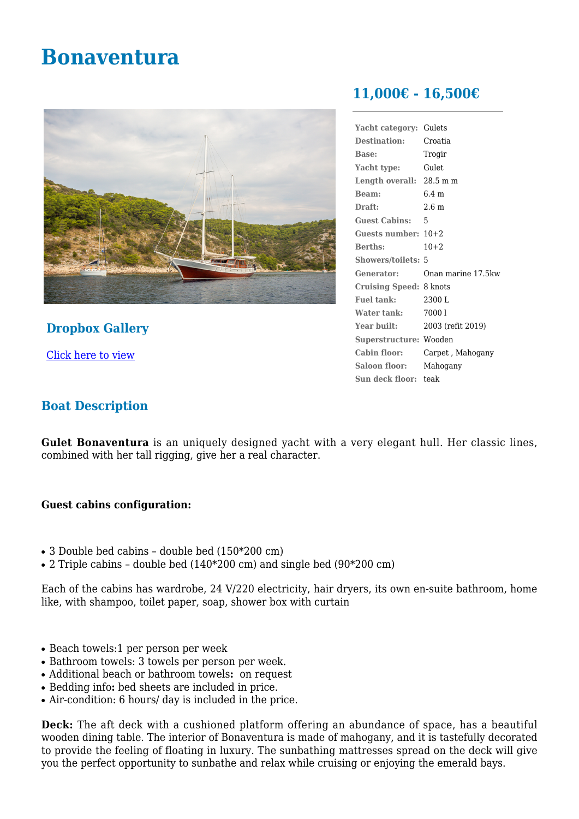# **Bonaventura**



**Dropbox Gallery**

[Click here to view](https://www.dropbox.com/sh/ya1r88f2phf69rb/AABVLP2qvYOQHUJD-pzsZT5Ba/best-web-photos-Bonaventura?dl=0)

# **11,000€ - 16,500€**

| Yacht category:           | Gulets             |
|---------------------------|--------------------|
| <b>Destination:</b>       | Croatia            |
| <b>Base:</b>              | Trogir             |
| Yacht type:               | Gulet              |
| Length overall: 28.5 m m  |                    |
| Beam:                     | $6.4 \text{ m}$    |
| Draft:                    | 2.6 <sub>m</sub>   |
| <b>Guest Cabins:</b>      | 5                  |
| Guests number: $10+2$     |                    |
| <b>Berths:</b>            | $10+2$             |
| <b>Showers/toilets: 5</b> |                    |
| Generator:                | Onan marine 17.5kw |
| <b>Cruising Speed:</b>    | 8 knots            |
| Fuel tank:                | 2300 L             |
| Water tank:               | 70001              |
| Year built:               | 2003 (refit 2019)  |
| Superstructure: Wooden    |                    |
| Cabin floor:              | Carpet, Mahogany   |
| Saloon floor:             | Mahogany           |
| Sun deck floor: teak      |                    |
|                           |                    |

# **Boat Description**

**Gulet Bonaventura** is an uniquely designed yacht with a very elegant hull. Her classic lines, combined with her tall rigging, give her a real character.

# **Guest cabins configuration:**

- $\bullet$  3 Double bed cabins double bed  $(150*200 \text{ cm})$
- 2 Triple cabins double bed  $(140*200 \text{ cm})$  and single bed  $(90*200 \text{ cm})$

Each of the cabins has wardrobe, 24 V/220 electricity, hair dryers, its own en-suite bathroom, home like, with shampoo, toilet paper, soap, shower box with curtain

- Beach towels:1 per person per week
- Bathroom towels: 3 towels per person per week.
- Additional beach or bathroom towels**:** on request
- Bedding info**:** bed sheets are included in price.
- Air-condition: 6 hours/ day is included in the price.

**Deck:** The aft deck with a cushioned platform offering an abundance of space, has a beautiful wooden dining table. The interior of Bonaventura is made of mahogany, and it is tastefully decorated to provide the feeling of floating in luxury. The sunbathing mattresses spread on the deck will give you the perfect opportunity to sunbathe and relax while cruising or enjoying the emerald bays.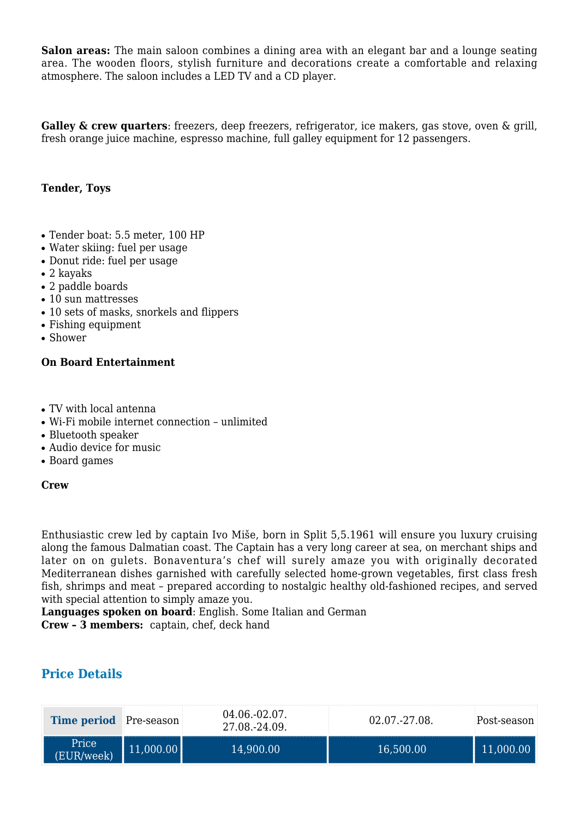**Salon areas:** The main saloon combines a dining area with an elegant bar and a lounge seating area. The wooden floors, stylish furniture and decorations create a comfortable and relaxing atmosphere. The saloon includes a LED TV and a CD player.

**Galley & crew quarters**: freezers, deep freezers, refrigerator, ice makers, gas stove, oven & grill, fresh orange juice machine, espresso machine, full galley equipment for 12 passengers.

### **Tender, Toys**

- Tender boat: 5.5 meter, 100 HP
- Water skiing: fuel per usage
- Donut ride: fuel per usage
- $\bullet$  2 kayaks
- 2 paddle boards
- 10 sun mattresses
- 10 sets of masks, snorkels and flippers
- Fishing equipment
- $\bullet$  Shower

#### **On Board Entertainment**

- TV with local antenna
- Wi-Fi mobile internet connection unlimited
- Bluetooth speaker
- Audio device for music
- Board games

#### **Crew**

Enthusiastic crew led by captain Ivo Miše, born in Split 5,5.1961 will ensure you luxury cruising along the famous Dalmatian coast. The Captain has a very long career at sea, on merchant ships and later on on gulets. Bonaventura's chef will surely amaze you with originally decorated Mediterranean dishes garnished with carefully selected home-grown vegetables, first class fresh fish, shrimps and meat – prepared according to nostalgic healthy old-fashioned recipes, and served with special attention to simply amaze you.

**Languages spoken on board**: English. Some Italian and German

**Crew – 3 members:** captain, chef, deck hand

# **Price Details**

| <b>Time period</b> Pre-season | 04.06.-02.07.<br>27.08.-24.09. | $02.07 - 27.08$ | Post-season |
|-------------------------------|--------------------------------|-----------------|-------------|
| Price<br>(EUR/week)           | 14,900.00                      | 16,500.00       |             |